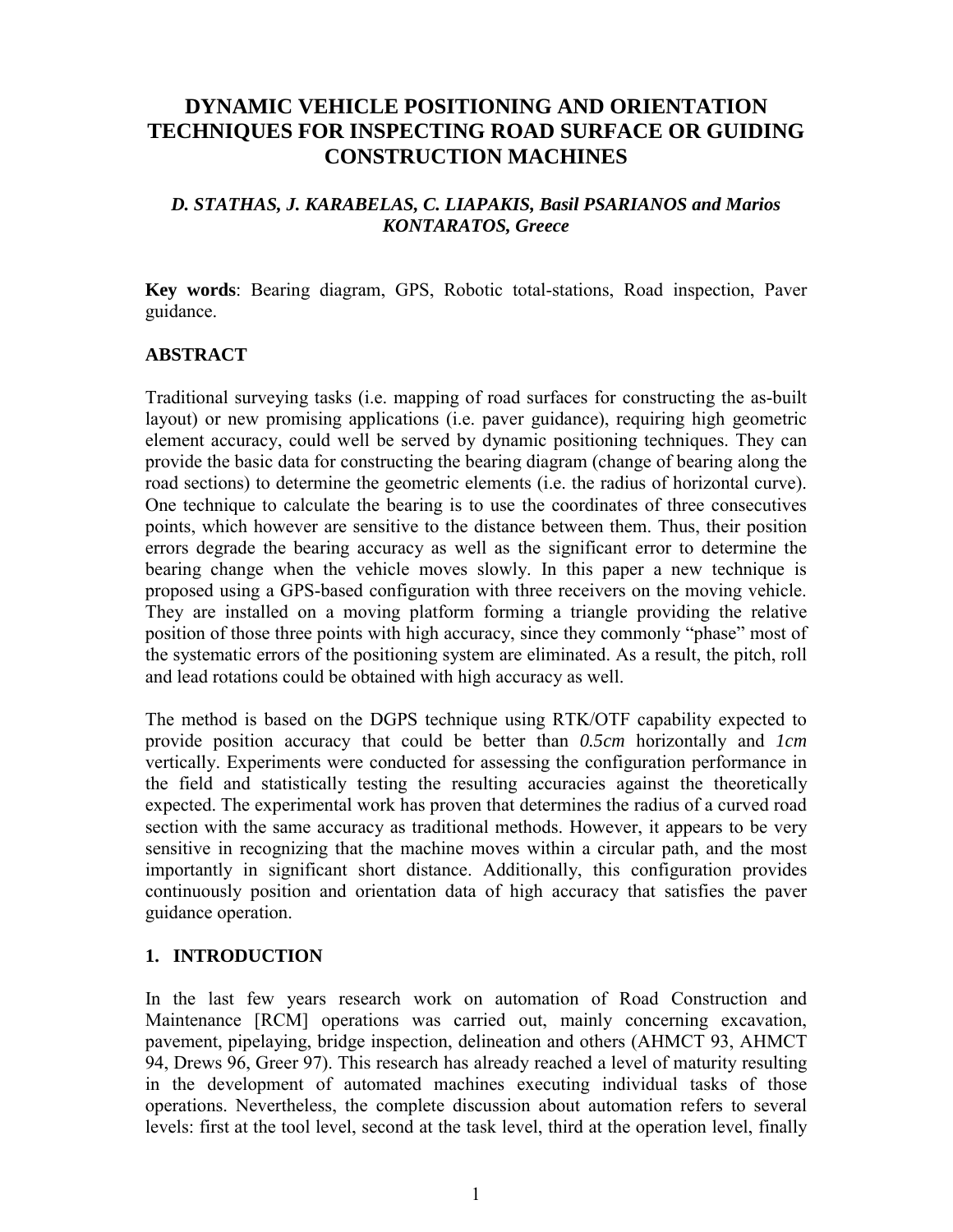# **DYNAMIC VEHICLE POSITIONING AND ORIENTATION TECHNIQUES FOR INSPECTING ROAD SURFACE OR GUIDING CONSTRUCTION MACHINES**

### *D. STATHAS, J. KARABELAS, C. LIAPAKIS, Basil PSARIANOS and Marios KONTARATOS, Greece*

**Key words**: Bearing diagram, GPS, Robotic total-stations, Road inspection, Paver guidance.

### **ABSTRACT**

Traditional surveying tasks (i.e. mapping of road surfaces for constructing the as-built layout) or new promising applications (i.e. paver guidance), requiring high geometric element accuracy, could well be served by dynamic positioning techniques. They can provide the basic data for constructing the bearing diagram (change of bearing along the road sections) to determine the geometric elements (i.e. the radius of horizontal curve). One technique to calculate the bearing is to use the coordinates of three consecutives points, which however are sensitive to the distance between them. Thus, their position errors degrade the bearing accuracy as well as the significant error to determine the bearing change when the vehicle moves slowly. In this paper a new technique is proposed using a GPS-based configuration with three receivers on the moving vehicle. They are installed on a moving platform forming a triangle providing the relative position of those three points with high accuracy, since they commonly "phase" most of the systematic errors of the positioning system are eliminated. As a result, the pitch, roll and lead rotations could be obtained with high accuracy as well.

The method is based on the DGPS technique using RTK/OTF capability expected to provide position accuracy that could be better than *0.5cm* horizontally and *1cm* vertically. Experiments were conducted for assessing the configuration performance in the field and statistically testing the resulting accuracies against the theoretically expected. The experimental work has proven that determines the radius of a curved road section with the same accuracy as traditional methods. However, it appears to be very sensitive in recognizing that the machine moves within a circular path, and the most importantly in significant short distance. Additionally, this configuration provides continuously position and orientation data of high accuracy that satisfies the paver guidance operation.

#### **1. INTRODUCTION**

In the last few years research work on automation of Road Construction and Maintenance [RCM] operations was carried out, mainly concerning excavation, pavement, pipelaying, bridge inspection, delineation and others (AHMCT 93, AHMCT 94, Drews 96, Greer 97). This research has already reached a level of maturity resulting in the development of automated machines executing individual tasks of those operations. Nevertheless, the complete discussion about automation refers to several levels: first at the tool level, second at the task level, third at the operation level, finally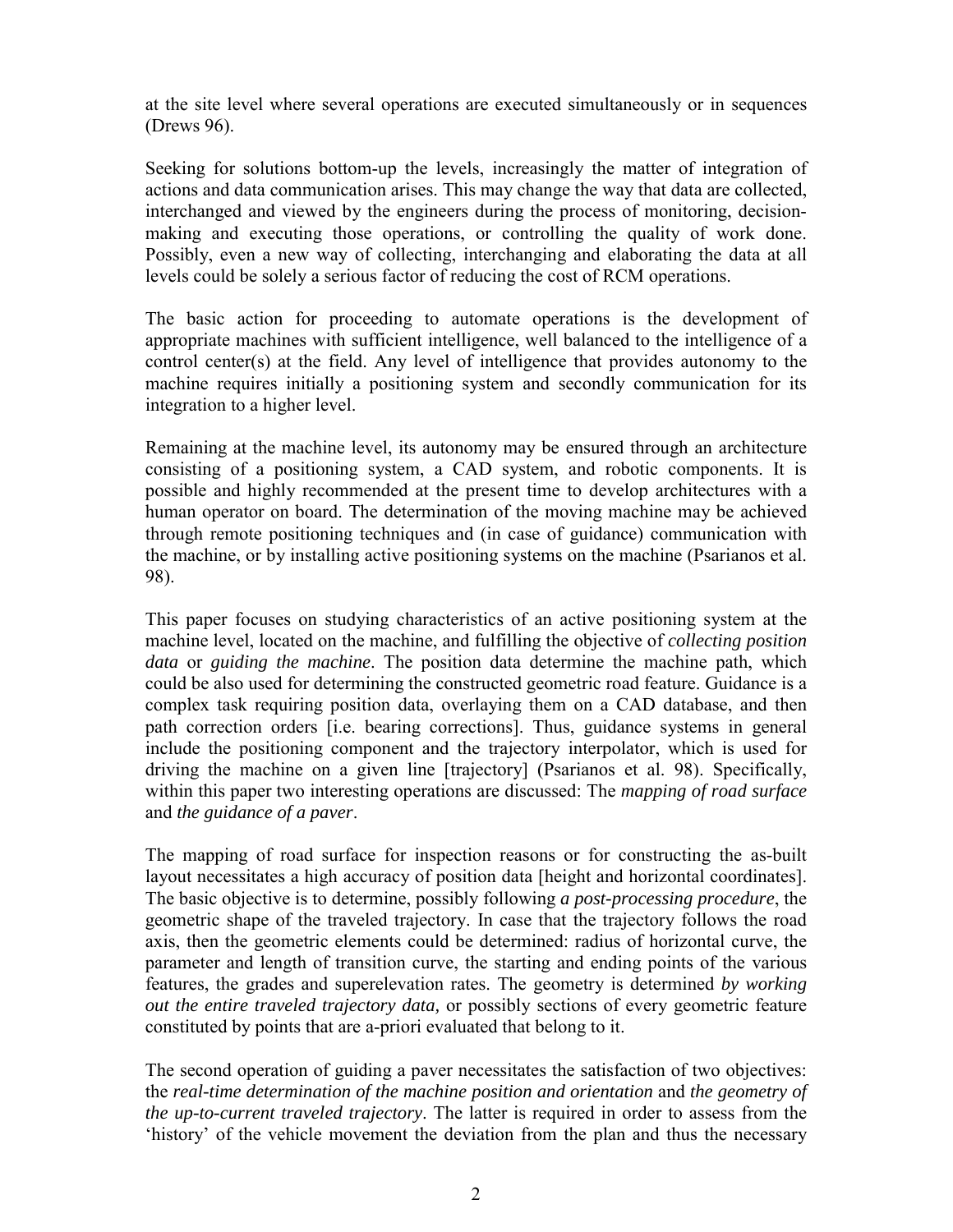at the site level where several operations are executed simultaneously or in sequences (Drews 96).

Seeking for solutions bottom-up the levels, increasingly the matter of integration of actions and data communication arises. This may change the way that data are collected, interchanged and viewed by the engineers during the process of monitoring, decisionmaking and executing those operations, or controlling the quality of work done. Possibly, even a new way of collecting, interchanging and elaborating the data at all levels could be solely a serious factor of reducing the cost of RCM operations.

The basic action for proceeding to automate operations is the development of appropriate machines with sufficient intelligence, well balanced to the intelligence of a control center(s) at the field. Any level of intelligence that provides autonomy to the machine requires initially a positioning system and secondly communication for its integration to a higher level.

Remaining at the machine level, its autonomy may be ensured through an architecture consisting of a positioning system, a CAD system, and robotic components. It is possible and highly recommended at the present time to develop architectures with a human operator on board. The determination of the moving machine may be achieved through remote positioning techniques and (in case of guidance) communication with the machine, or by installing active positioning systems on the machine (Psarianos et al. 98).

This paper focuses on studying characteristics of an active positioning system at the machine level, located on the machine, and fulfilling the objective of *collecting position data* or *guiding the machine*. The position data determine the machine path, which could be also used for determining the constructed geometric road feature. Guidance is a complex task requiring position data, overlaying them on a CAD database, and then path correction orders [i.e. bearing corrections]. Thus, guidance systems in general include the positioning component and the trajectory interpolator, which is used for driving the machine on a given line [trajectory] (Psarianos et al. 98). Specifically, within this paper two interesting operations are discussed: The *mapping of road surface* and *the guidance of a paver*.

The mapping of road surface for inspection reasons or for constructing the as-built layout necessitates a high accuracy of position data [height and horizontal coordinates]. The basic objective is to determine, possibly following *a post-processing procedure*, the geometric shape of the traveled trajectory. In case that the trajectory follows the road axis, then the geometric elements could be determined: radius of horizontal curve, the parameter and length of transition curve, the starting and ending points of the various features, the grades and superelevation rates. The geometry is determined *by working out the entire traveled trajectory data,* or possibly sections of every geometric feature constituted by points that are a-priori evaluated that belong to it.

The second operation of guiding a paver necessitates the satisfaction of two objectives: the *real-time determination of the machine position and orientation* and *the geometry of the up-to-current traveled trajectory*. The latter is required in order to assess from the 'history' of the vehicle movement the deviation from the plan and thus the necessary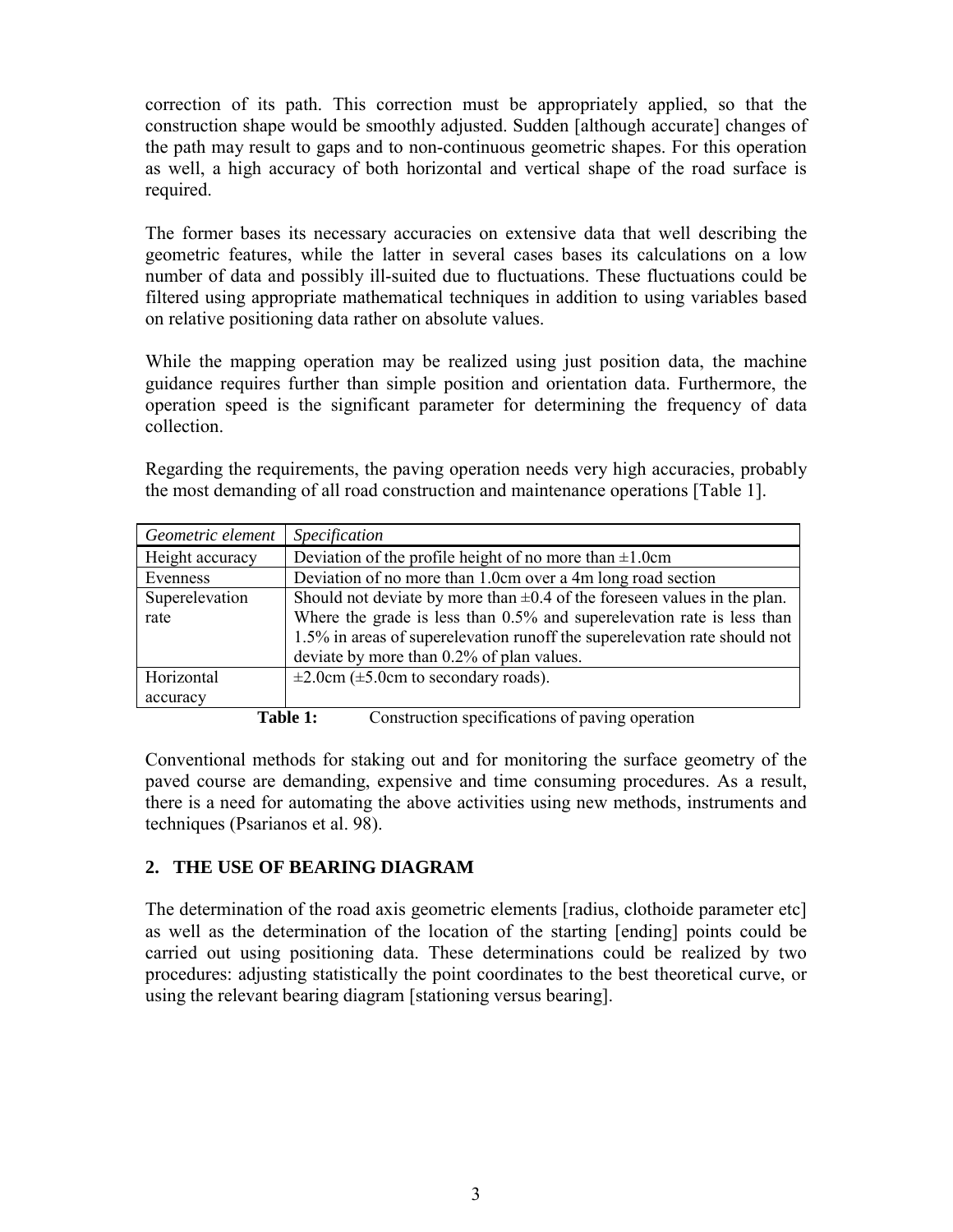correction of its path. This correction must be appropriately applied, so that the construction shape would be smoothly adjusted. Sudden [although accurate] changes of the path may result to gaps and to non-continuous geometric shapes. For this operation as well, a high accuracy of both horizontal and vertical shape of the road surface is required.

The former bases its necessary accuracies on extensive data that well describing the geometric features, while the latter in several cases bases its calculations on a low number of data and possibly ill-suited due to fluctuations. These fluctuations could be filtered using appropriate mathematical techniques in addition to using variables based on relative positioning data rather on absolute values.

While the mapping operation may be realized using just position data, the machine guidance requires further than simple position and orientation data. Furthermore, the operation speed is the significant parameter for determining the frequency of data collection.

Regarding the requirements, the paving operation needs very high accuracies, probably the most demanding of all road construction and maintenance operations [Table 1].

| Geometric element                                          | <i>Specification</i>                                                          |  |  |  |
|------------------------------------------------------------|-------------------------------------------------------------------------------|--|--|--|
| Height accuracy                                            | Deviation of the profile height of no more than $\pm 1.0$ cm                  |  |  |  |
| Evenness                                                   | Deviation of no more than 1.0cm over a 4m long road section                   |  |  |  |
| Superelevation                                             | Should not deviate by more than $\pm 0.4$ of the foreseen values in the plan. |  |  |  |
| rate                                                       | Where the grade is less than $0.5\%$ and superelevation rate is less than     |  |  |  |
|                                                            | 1.5% in areas of superelevation runoff the superelevation rate should not     |  |  |  |
|                                                            | deviate by more than 0.2% of plan values.                                     |  |  |  |
| Horizontal                                                 | $\pm 2.0$ cm ( $\pm 5.0$ cm to secondary roads).                              |  |  |  |
| accuracy                                                   |                                                                               |  |  |  |
| Construction specifications of perips epertian<br>Таћ1а 1. |                                                                               |  |  |  |

**Table 1:** Construction specifications of paving operation

Conventional methods for staking out and for monitoring the surface geometry of the paved course are demanding, expensive and time consuming procedures. As a result, there is a need for automating the above activities using new methods, instruments and techniques (Psarianos et al. 98).

## **2. THE USE OF BEARING DIAGRAM**

The determination of the road axis geometric elements [radius, clothoide parameter etc] as well as the determination of the location of the starting [ending] points could be carried out using positioning data. These determinations could be realized by two procedures: adjusting statistically the point coordinates to the best theoretical curve, or using the relevant bearing diagram [stationing versus bearing].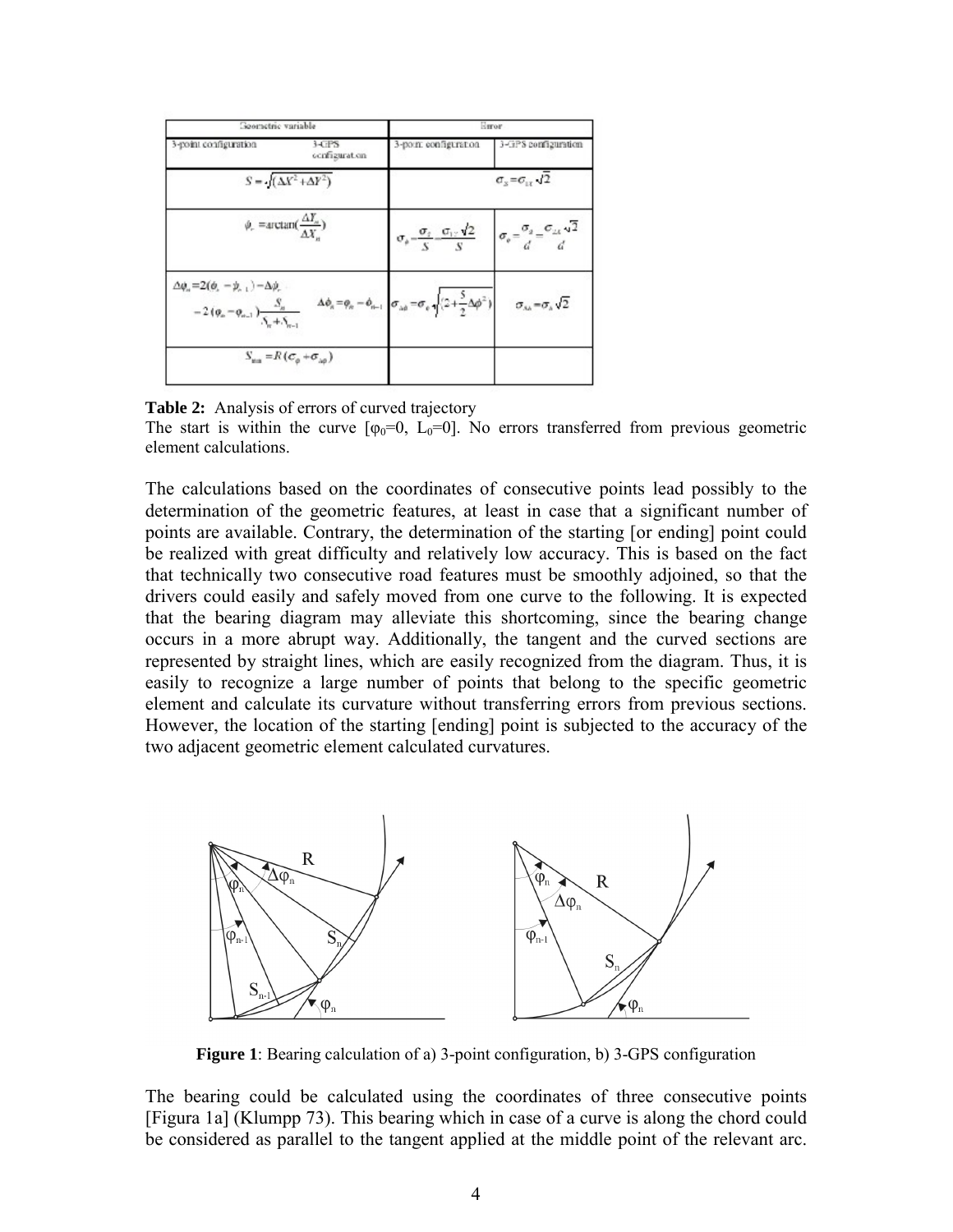| Geometric variable                                                                                       |                                                                        |                                                                                                                                                           | Esroe                                                                       |  |  |  |  |
|----------------------------------------------------------------------------------------------------------|------------------------------------------------------------------------|-----------------------------------------------------------------------------------------------------------------------------------------------------------|-----------------------------------------------------------------------------|--|--|--|--|
| 3-point configuration                                                                                    | <b>HTPS</b><br>cenfiguration                                           | 3-point configuration                                                                                                                                     | 3-3PS configuration                                                         |  |  |  |  |
|                                                                                                          | $S = \sqrt{(\Delta X^2 + \Delta Y^2)}$                                 | $\sigma_{\rm s} = \sigma_{\rm cr} \sqrt{2}$                                                                                                               |                                                                             |  |  |  |  |
| $\phi_r$ = arctan( $\frac{\Delta I_n}{\Delta Y}$ )                                                       |                                                                        | $\sigma_{\phi} = \frac{\sigma_{\phi}}{S} = \frac{\sigma_{\phi} \sqrt{2}}{S}$ $\sigma_{\phi} = \frac{\sigma_{\phi}}{d} = \frac{\sigma_{\phi} \sqrt{2}}{d}$ |                                                                             |  |  |  |  |
| $\Delta\phi_n = 2(\phi_n - \phi_{n-1}) - \Delta\phi_n$<br>$-2(\varphi_n-\varphi_{n-1})\frac{S_n}{S+S_n}$ |                                                                        | $\Delta \phi_n = \phi_n - \phi_{n-1}$ $\sigma_{\lambda \phi} = \sigma_e \sqrt{(2 + \frac{5}{2} \Delta \phi^2)}$                                           | $\sigma_{\scriptscriptstyle{AB}} = \sigma_{\scriptscriptstyle{A}} \sqrt{2}$ |  |  |  |  |
|                                                                                                          | $S_{\mu\alpha} = R\left(\sigma_{\alpha} + \sigma_{\alpha\beta}\right)$ |                                                                                                                                                           |                                                                             |  |  |  |  |

**Table 2:** Analysis of errors of curved trajectory

The start is within the curve  $[\varphi_0=0, L_0=0]$ . No errors transferred from previous geometric element calculations.

The calculations based on the coordinates of consecutive points lead possibly to the determination of the geometric features, at least in case that a significant number of points are available. Contrary, the determination of the starting [or ending] point could be realized with great difficulty and relatively low accuracy. This is based on the fact that technically two consecutive road features must be smoothly adjoined, so that the drivers could easily and safely moved from one curve to the following. It is expected that the bearing diagram may alleviate this shortcoming, since the bearing change occurs in a more abrupt way. Additionally, the tangent and the curved sections are represented by straight lines, which are easily recognized from the diagram. Thus, it is easily to recognize a large number of points that belong to the specific geometric element and calculate its curvature without transferring errors from previous sections. However, the location of the starting [ending] point is subjected to the accuracy of the two adjacent geometric element calculated curvatures.



**Figure 1**: Bearing calculation of a) 3-point configuration, b) 3-GPS configuration

The bearing could be calculated using the coordinates of three consecutive points [Figura 1a] (Klumpp 73). This bearing which in case of a curve is along the chord could be considered as parallel to the tangent applied at the middle point of the relevant arc.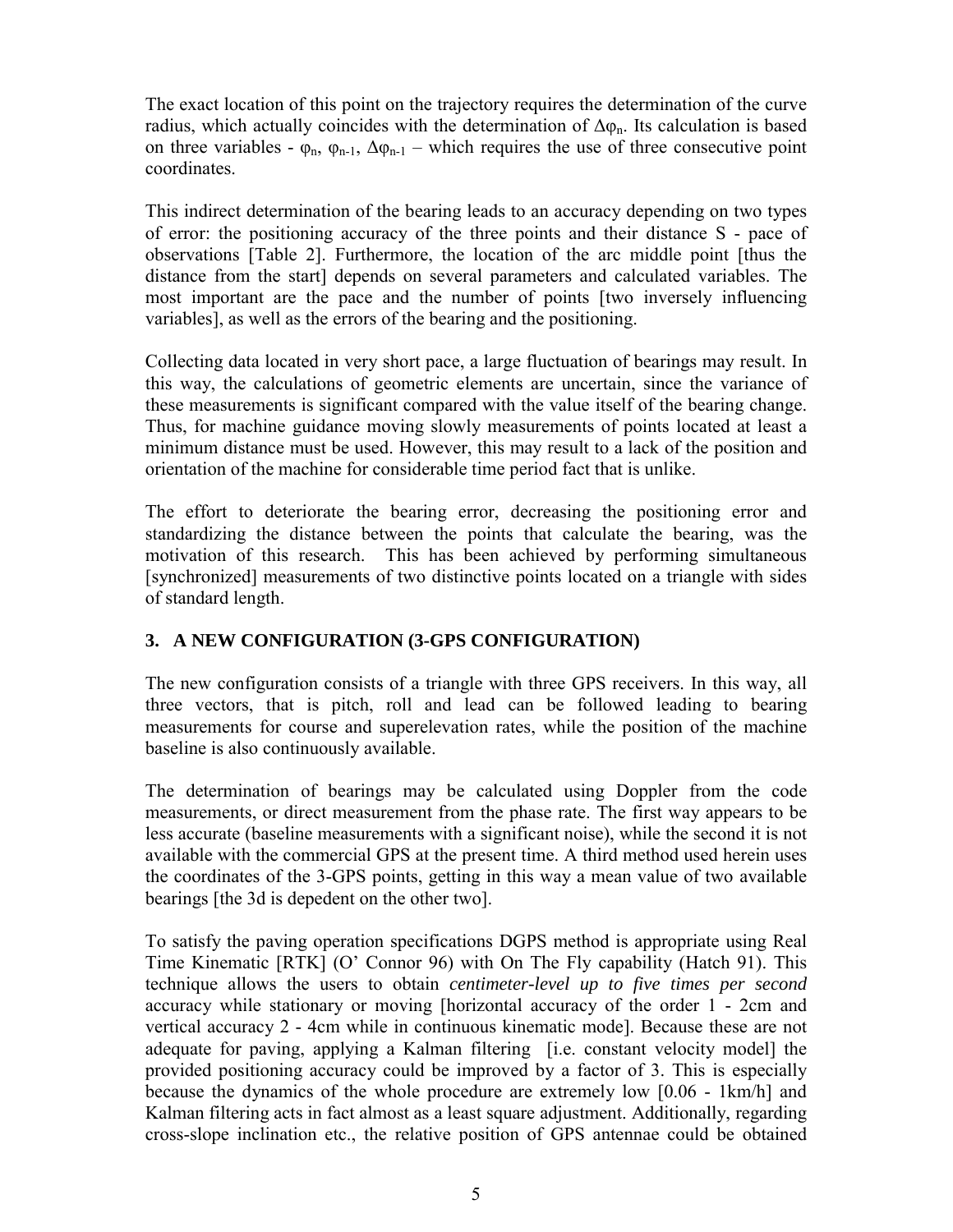The exact location of this point on the trajectory requires the determination of the curve radius, which actually coincides with the determination of  $\Delta \varphi_n$ . Its calculation is based on three variables -  $\varphi_n$ ,  $\varphi_{n-1}$ ,  $\Delta \varphi_{n-1}$  – which requires the use of three consecutive point coordinates.

This indirect determination of the bearing leads to an accuracy depending on two types of error: the positioning accuracy of the three points and their distance S - pace of observations [Table 2]. Furthermore, the location of the arc middle point [thus the distance from the start] depends on several parameters and calculated variables. The most important are the pace and the number of points [two inversely influencing variables], as well as the errors of the bearing and the positioning.

Collecting data located in very short pace, a large fluctuation of bearings may result. In this way, the calculations of geometric elements are uncertain, since the variance of these measurements is significant compared with the value itself of the bearing change. Thus, for machine guidance moving slowly measurements of points located at least a minimum distance must be used. However, this may result to a lack of the position and orientation of the machine for considerable time period fact that is unlike.

The effort to deteriorate the bearing error, decreasing the positioning error and standardizing the distance between the points that calculate the bearing, was the motivation of this research. This has been achieved by performing simultaneous [synchronized] measurements of two distinctive points located on a triangle with sides of standard length.

## **3. A NEW CONFIGURATION (3-GPS CONFIGURATION)**

The new configuration consists of a triangle with three GPS receivers. In this way, all three vectors, that is pitch, roll and lead can be followed leading to bearing measurements for course and superelevation rates, while the position of the machine baseline is also continuously available.

The determination of bearings may be calculated using Doppler from the code measurements, or direct measurement from the phase rate. The first way appears to be less accurate (baseline measurements with a significant noise), while the second it is not available with the commercial GPS at the present time. A third method used herein uses the coordinates of the 3-GPS points, getting in this way a mean value of two available bearings [the 3d is depedent on the other two].

To satisfy the paving operation specifications DGPS method is appropriate using Real Time Kinematic [RTK] (O' Connor 96) with On The Fly capability (Hatch 91). This technique allows the users to obtain *centimeter-level up to five times per second* accuracy while stationary or moving [horizontal accuracy of the order 1 - 2cm and vertical accuracy 2 - 4cm while in continuous kinematic mode]. Because these are not adequate for paving, applying a Kalman filtering [i.e. constant velocity model] the provided positioning accuracy could be improved by a factor of 3. This is especially because the dynamics of the whole procedure are extremely low [0.06 - 1km/h] and Kalman filtering acts in fact almost as a least square adjustment. Additionally, regarding cross-slope inclination etc., the relative position of GPS antennae could be obtained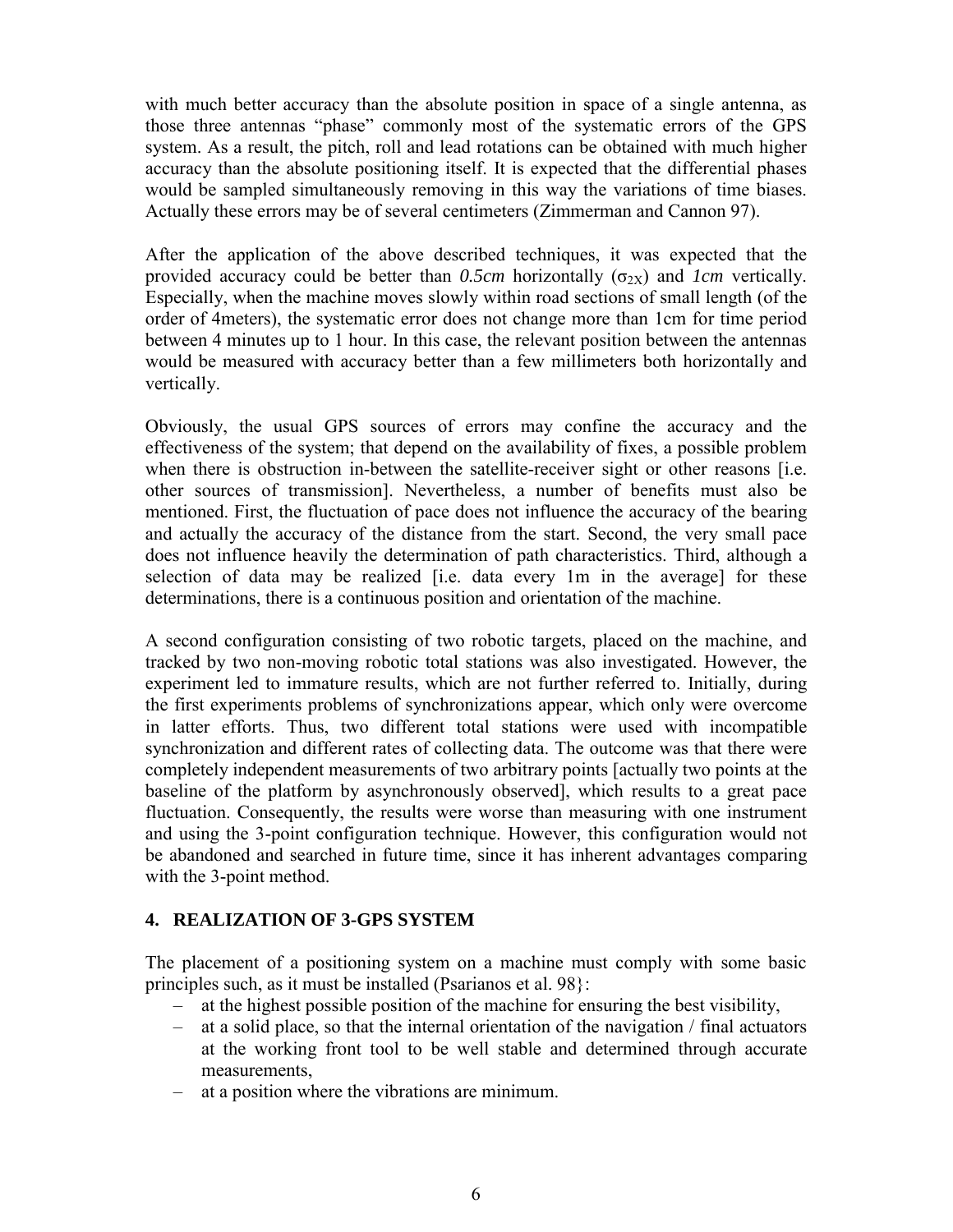with much better accuracy than the absolute position in space of a single antenna, as those three antennas "phase" commonly most of the systematic errors of the GPS system. As a result, the pitch, roll and lead rotations can be obtained with much higher accuracy than the absolute positioning itself. It is expected that the differential phases would be sampled simultaneously removing in this way the variations of time biases. Actually these errors may be of several centimeters (Zimmerman and Cannon 97).

After the application of the above described techniques, it was expected that the provided accuracy could be better than  $0.5cm$  horizontally ( $\sigma_{2X}$ ) and *1cm* vertically. Especially, when the machine moves slowly within road sections of small length (of the order of 4meters), the systematic error does not change more than 1cm for time period between 4 minutes up to 1 hour. In this case, the relevant position between the antennas would be measured with accuracy better than a few millimeters both horizontally and vertically.

Obviously, the usual GPS sources of errors may confine the accuracy and the effectiveness of the system; that depend on the availability of fixes, a possible problem when there is obstruction in-between the satellite-receiver sight or other reasons [i.e. other sources of transmission]. Nevertheless, a number of benefits must also be mentioned. First, the fluctuation of pace does not influence the accuracy of the bearing and actually the accuracy of the distance from the start. Second, the very small pace does not influence heavily the determination of path characteristics. Third, although a selection of data may be realized [i.e. data every 1m in the average] for these determinations, there is a continuous position and orientation of the machine.

A second configuration consisting of two robotic targets, placed on the machine, and tracked by two non-moving robotic total stations was also investigated. However, the experiment led to immature results, which are not further referred to. Initially, during the first experiments problems of synchronizations appear, which only were overcome in latter efforts. Thus, two different total stations were used with incompatible synchronization and different rates of collecting data. The outcome was that there were completely independent measurements of two arbitrary points [actually two points at the baseline of the platform by asynchronously observed], which results to a great pace fluctuation. Consequently, the results were worse than measuring with one instrument and using the 3-point configuration technique. However, this configuration would not be abandoned and searched in future time, since it has inherent advantages comparing with the 3-point method.

## **4. REALIZATION OF 3-GPS SYSTEM**

The placement of a positioning system on a machine must comply with some basic principles such, as it must be installed (Psarianos et al. 98}:

- at the highest possible position of the machine for ensuring the best visibility,
- at a solid place, so that the internal orientation of the navigation / final actuators at the working front tool to be well stable and determined through accurate measurements,
- at a position where the vibrations are minimum.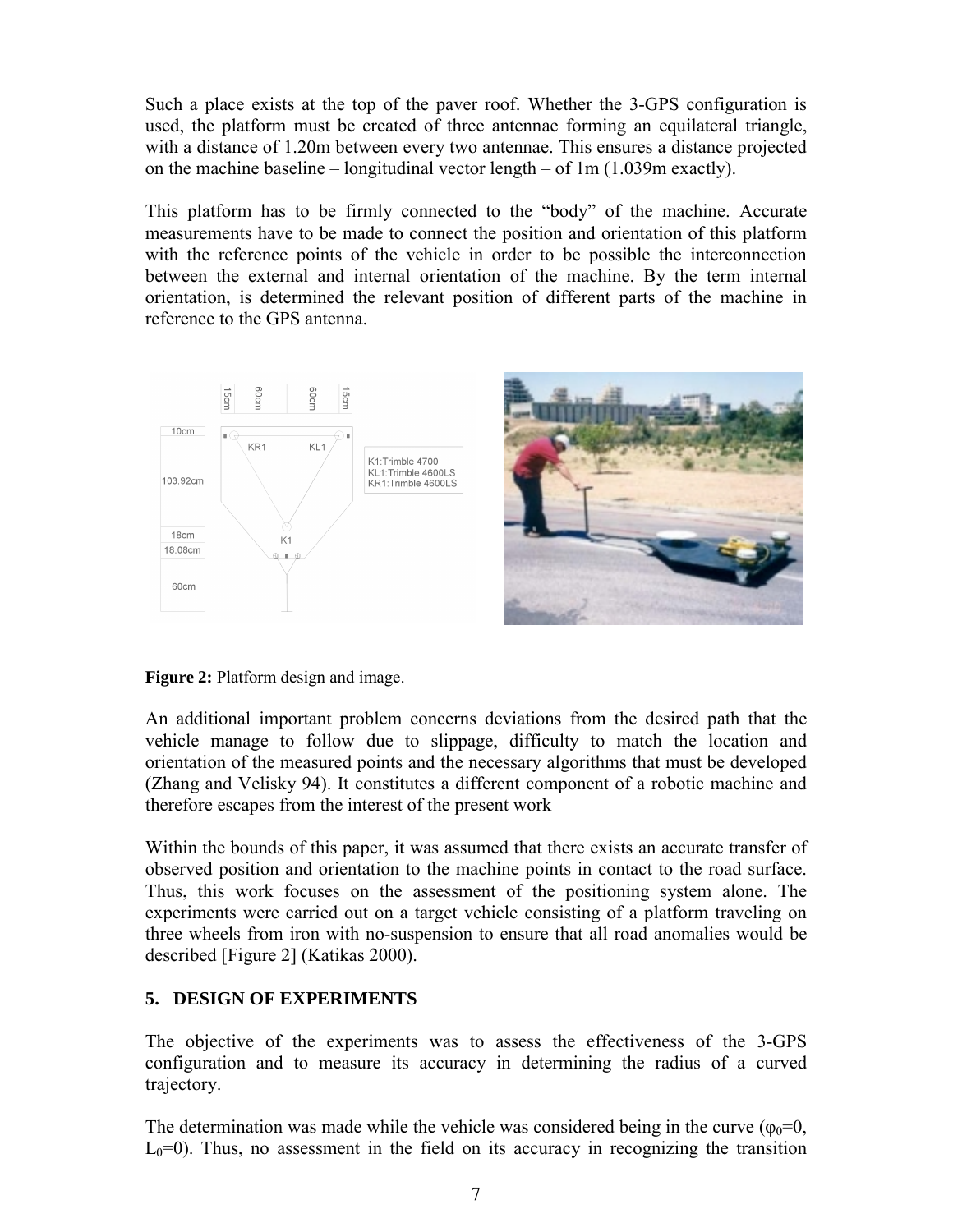Such a place exists at the top of the paver roof. Whether the 3-GPS configuration is used, the platform must be created of three antennae forming an equilateral triangle, with a distance of 1.20m between every two antennae. This ensures a distance projected on the machine baseline – longitudinal vector length – of 1m (1.039m exactly).

This platform has to be firmly connected to the "body" of the machine. Accurate measurements have to be made to connect the position and orientation of this platform with the reference points of the vehicle in order to be possible the interconnection between the external and internal orientation of the machine. By the term internal orientation, is determined the relevant position of different parts of the machine in reference to the GPS antenna.



**Figure 2:** Platform design and image.

An additional important problem concerns deviations from the desired path that the vehicle manage to follow due to slippage, difficulty to match the location and orientation of the measured points and the necessary algorithms that must be developed (Zhang and Velisky 94). It constitutes a different component of a robotic machine and therefore escapes from the interest of the present work

Within the bounds of this paper, it was assumed that there exists an accurate transfer of observed position and orientation to the machine points in contact to the road surface. Thus, this work focuses on the assessment of the positioning system alone. The experiments were carried out on a target vehicle consisting of a platform traveling on three wheels from iron with no-suspension to ensure that all road anomalies would be described [Figure 2] (Katikas 2000).

## **5. DESIGN OF EXPERIMENTS**

The objective of the experiments was to assess the effectiveness of the 3-GPS configuration and to measure its accuracy in determining the radius of a curved trajectory.

The determination was made while the vehicle was considered being in the curve ( $\varphi_0=0$ ,  $L<sub>0</sub>=0$ ). Thus, no assessment in the field on its accuracy in recognizing the transition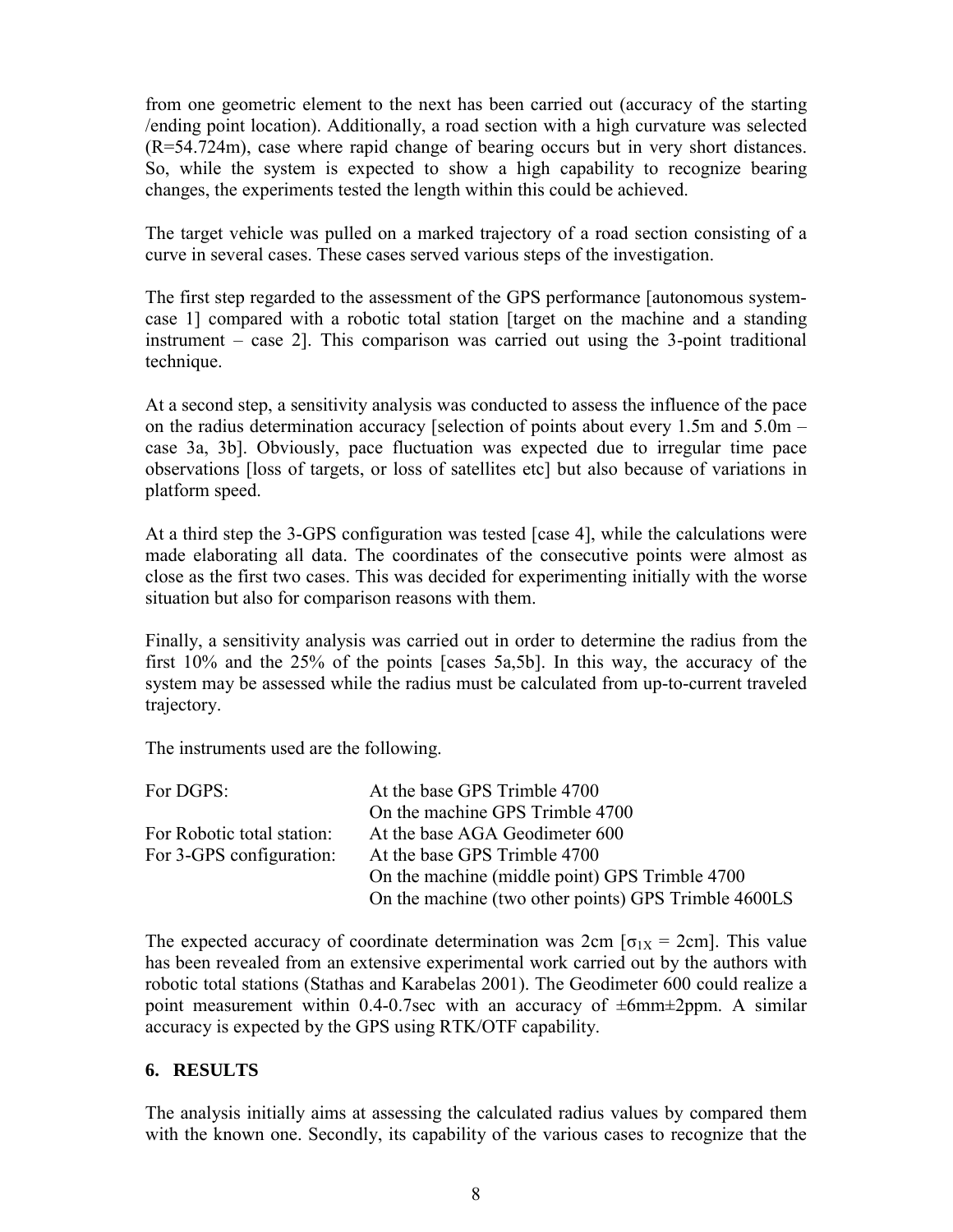from one geometric element to the next has been carried out (accuracy of the starting /ending point location). Additionally, a road section with a high curvature was selected (R=54.724m), case where rapid change of bearing occurs but in very short distances. So, while the system is expected to show a high capability to recognize bearing changes, the experiments tested the length within this could be achieved.

The target vehicle was pulled on a marked trajectory of a road section consisting of a curve in several cases. These cases served various steps of the investigation.

The first step regarded to the assessment of the GPS performance [autonomous systemcase 1] compared with a robotic total station [target on the machine and a standing instrument – case 2]. This comparison was carried out using the 3-point traditional technique.

At a second step, a sensitivity analysis was conducted to assess the influence of the pace on the radius determination accuracy [selection of points about every 1.5m and 5.0m – case 3a, 3b]. Obviously, pace fluctuation was expected due to irregular time pace observations [loss of targets, or loss of satellites etc] but also because of variations in platform speed.

At a third step the 3-GPS configuration was tested [case 4], while the calculations were made elaborating all data. The coordinates of the consecutive points were almost as close as the first two cases. This was decided for experimenting initially with the worse situation but also for comparison reasons with them.

Finally, a sensitivity analysis was carried out in order to determine the radius from the first 10% and the 25% of the points [cases 5a,5b]. In this way, the accuracy of the system may be assessed while the radius must be calculated from up-to-current traveled trajectory.

The instruments used are the following.

| For DGPS:                  | At the base GPS Trimble 4700                         |  |  |  |  |
|----------------------------|------------------------------------------------------|--|--|--|--|
|                            | On the machine GPS Trimble 4700                      |  |  |  |  |
| For Robotic total station: | At the base AGA Geodimeter 600                       |  |  |  |  |
| For 3-GPS configuration:   | At the base GPS Trimble 4700                         |  |  |  |  |
|                            | On the machine (middle point) GPS Trimble 4700       |  |  |  |  |
|                            | On the machine (two other points) GPS Trimble 4600LS |  |  |  |  |

The expected accuracy of coordinate determination was  $2cm$  [ $\sigma_{1X} = 2cm$ ]. This value has been revealed from an extensive experimental work carried out by the authors with robotic total stations (Stathas and Karabelas 2001). The Geodimeter 600 could realize a point measurement within 0.4-0.7sec with an accuracy of  $\pm 6$ mm $\pm 2$ ppm. A similar accuracy is expected by the GPS using RTK/OTF capability.

#### **6. RESULTS**

The analysis initially aims at assessing the calculated radius values by compared them with the known one. Secondly, its capability of the various cases to recognize that the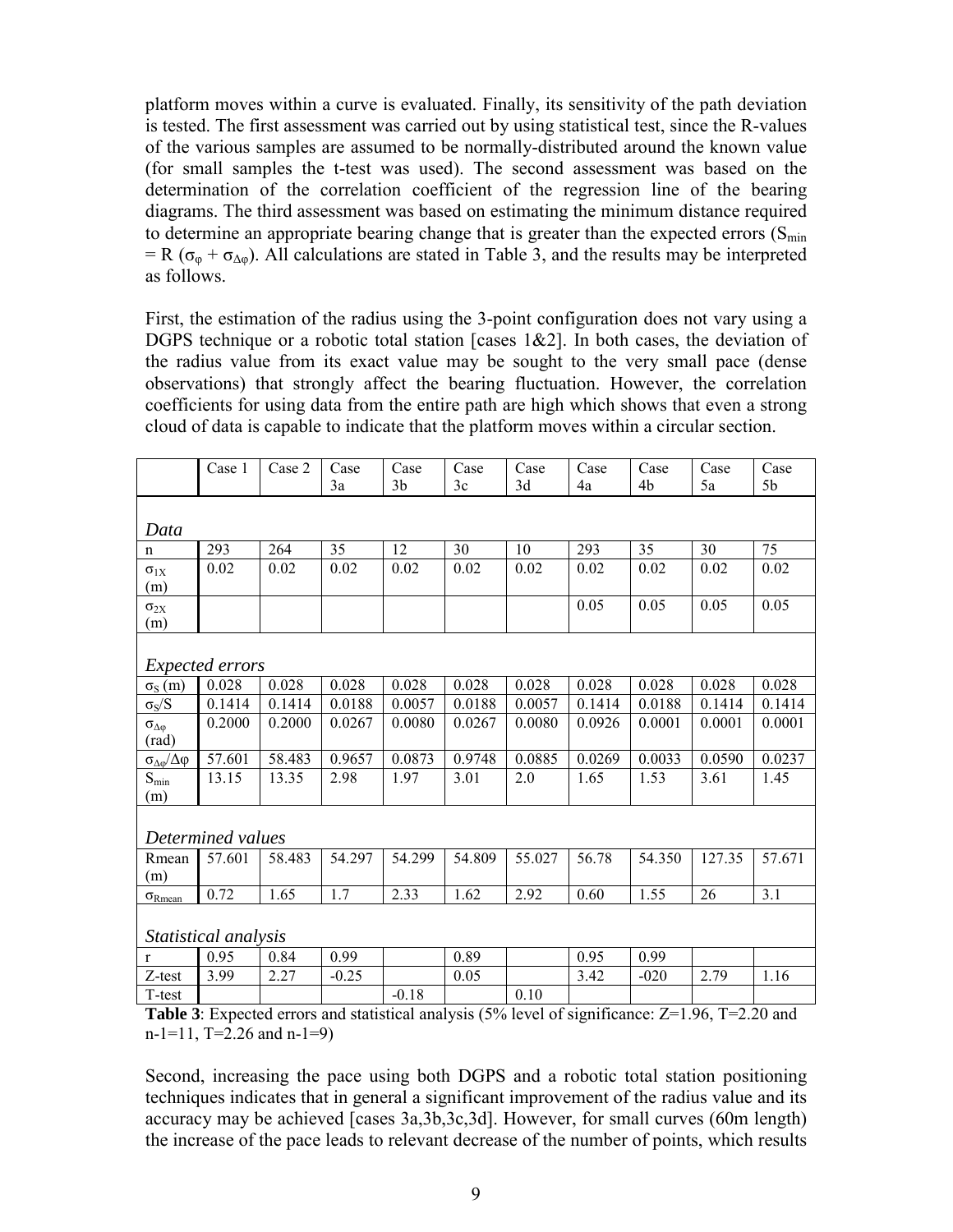platform moves within a curve is evaluated. Finally, its sensitivity of the path deviation is tested. The first assessment was carried out by using statistical test, since the R-values of the various samples are assumed to be normally-distributed around the known value (for small samples the t-test was used). The second assessment was based on the determination of the correlation coefficient of the regression line of the bearing diagrams. The third assessment was based on estimating the minimum distance required to determine an appropriate bearing change that is greater than the expected errors  $(S_{min})$ = R ( $\sigma_{\varphi}$  +  $\sigma_{\Delta\varphi}$ ). All calculations are stated in Table 3, and the results may be interpreted as follows.

First, the estimation of the radius using the 3-point configuration does not vary using a DGPS technique or a robotic total station [cases 1&2]. In both cases, the deviation of the radius value from its exact value may be sought to the very small pace (dense observations) that strongly affect the bearing fluctuation. However, the correlation coefficients for using data from the entire path are high which shows that even a strong cloud of data is capable to indicate that the platform moves within a circular section.

|                                  | Case 1                 | Case 2 | Case                                                                                                         | Case           | Case   | Case   | Case   | Case   | Case   | Case           |
|----------------------------------|------------------------|--------|--------------------------------------------------------------------------------------------------------------|----------------|--------|--------|--------|--------|--------|----------------|
|                                  |                        |        | 3a                                                                                                           | 3 <sub>b</sub> | 3c     | 3d     | 4a     | 4b     | 5a     | 5 <sub>b</sub> |
|                                  |                        |        |                                                                                                              |                |        |        |        |        |        |                |
| Data                             |                        |        |                                                                                                              |                |        |        |        |        |        |                |
| $\mathbf n$                      | 293                    | 264    | 35                                                                                                           | 12             | 30     | 10     | 293    | 35     | 30     | 75             |
| $\sigma_{1X}$                    | 0.02                   | 0.02   | 0.02                                                                                                         | 0.02           | 0.02   | 0.02   | 0.02   | 0.02   | 0.02   | 0.02           |
| (m)                              |                        |        |                                                                                                              |                |        |        |        |        |        |                |
| $\sigma_{2X}$                    |                        |        |                                                                                                              |                |        |        | 0.05   | 0.05   | 0.05   | 0.05           |
| (m)                              |                        |        |                                                                                                              |                |        |        |        |        |        |                |
|                                  |                        |        |                                                                                                              |                |        |        |        |        |        |                |
|                                  | <i>Expected errors</i> |        |                                                                                                              |                |        |        |        |        |        |                |
| $\sigma_{\rm S}$ (m)             | 0.028                  | 0.028  | 0.028                                                                                                        | 0.028          | 0.028  | 0.028  | 0.028  | 0.028  | 0.028  | 0.028          |
| $\sigma_S/S$                     | 0.1414                 | 0.1414 | 0.0188                                                                                                       | 0.0057         | 0.0188 | 0.0057 | 0.1414 | 0.0188 | 0.1414 | 0.1414         |
| $\sigma_{\Delta\phi}$            | 0.2000                 | 0.2000 | 0.0267                                                                                                       | 0.0080         | 0.0267 | 0.0080 | 0.0926 | 0.0001 | 0.0001 | 0.0001         |
| $\text{(rad)}$                   |                        |        |                                                                                                              |                |        |        |        |        |        |                |
| $\sigma_{\Delta\phi}/\Delta\phi$ | 57.601                 | 58.483 | 0.9657                                                                                                       | 0.0873         | 0.9748 | 0.0885 | 0.0269 | 0.0033 | 0.0590 | 0.0237         |
| $S_{\min}$                       | 13.15                  | 13.35  | 2.98                                                                                                         | 1.97           | 3.01   | 2.0    | 1.65   | 1.53   | 3.61   | 1.45           |
| (m)                              |                        |        |                                                                                                              |                |        |        |        |        |        |                |
|                                  |                        |        |                                                                                                              |                |        |        |        |        |        |                |
|                                  | Determined values      |        |                                                                                                              |                |        |        |        |        |        |                |
| Rmean                            | 57.601                 | 58.483 | 54.297                                                                                                       | 54.299         | 54.809 | 55.027 | 56.78  | 54.350 | 127.35 | 57.671         |
| (m)                              |                        |        |                                                                                                              |                |        |        |        |        |        |                |
| $\sigma_{\rm Rmean}$             | 0.72                   | 1.65   | 1.7                                                                                                          | 2.33           | 1.62   | 2.92   | 0.60   | 1.55   | 26     | 3.1            |
|                                  |                        |        |                                                                                                              |                |        |        |        |        |        |                |
|                                  | Statistical analysis   |        |                                                                                                              |                |        |        |        |        |        |                |
| $\mathbf{r}$                     | 0.95                   | 0.84   | 0.99                                                                                                         |                | 0.89   |        | 0.95   | 0.99   |        |                |
| Z-test                           | 3.99                   | 2.27   | $-0.25$                                                                                                      |                | 0.05   |        | 3.42   | $-020$ | 2.79   | 1.16           |
| T-test                           |                        |        |                                                                                                              | $-0.18$        |        | 0.10   |        |        |        |                |
|                                  |                        |        | <b>Tabla 3:</b> Expected errors and statistical analysis $(5\%$ level of significance: $7\pm1.96$ T=2.20 and |                |        |        |        |        |        |                |

**Table 3**: Expected errors and statistical analysis (5% level of significance: Z=1.96, T=2.20 and  $n-1=11$ , T=2.26 and  $n-1=9$ )

Second, increasing the pace using both DGPS and a robotic total station positioning techniques indicates that in general a significant improvement of the radius value and its accuracy may be achieved [cases 3a,3b,3c,3d]. However, for small curves (60m length) the increase of the pace leads to relevant decrease of the number of points, which results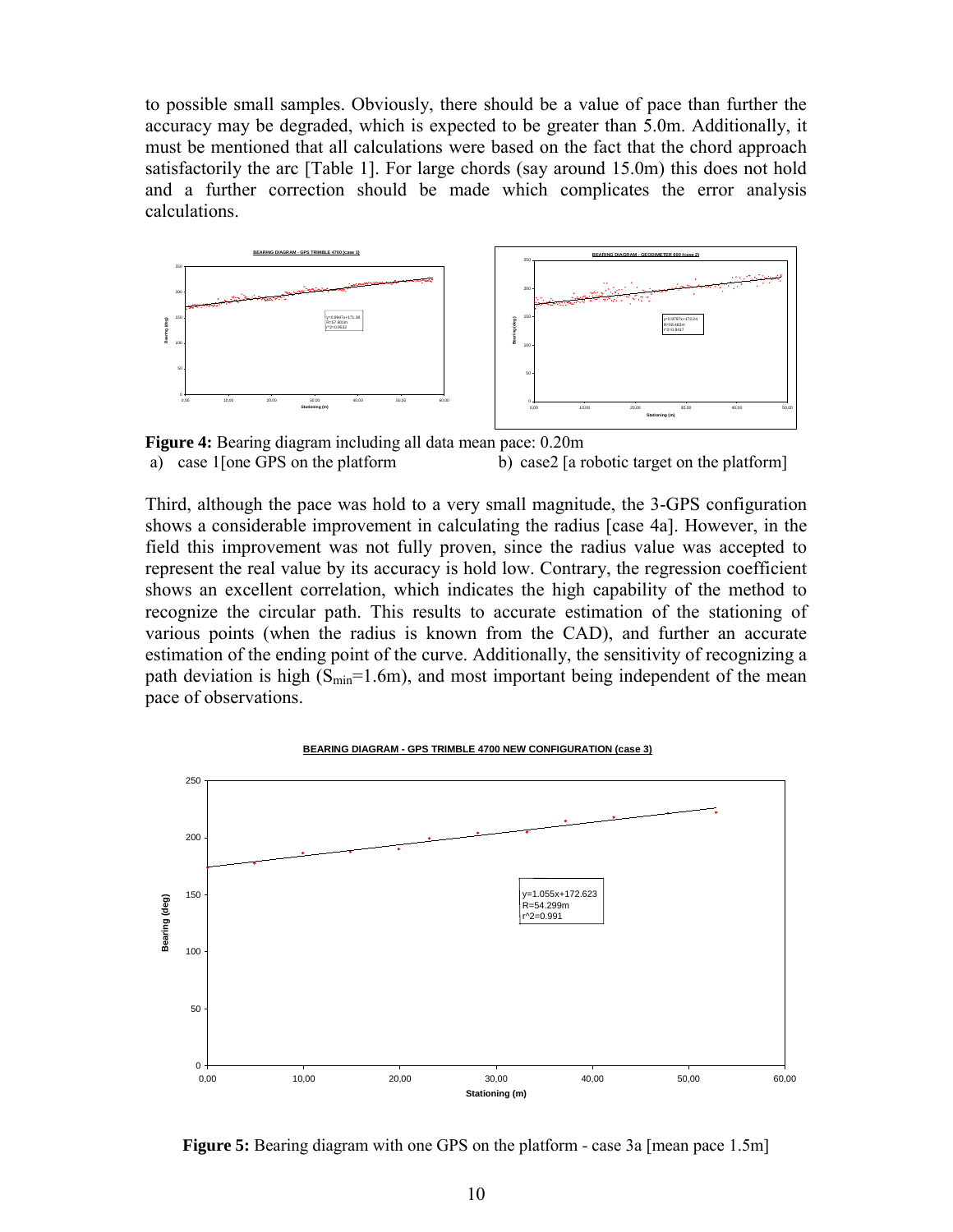to possible small samples. Obviously, there should be a value of pace than further the accuracy may be degraded, which is expected to be greater than 5.0m. Additionally, it must be mentioned that all calculations were based on the fact that the chord approach satisfactorily the arc [Table 1]. For large chords (say around 15.0m) this does not hold and a further correction should be made which complicates the error analysis calculations.



**Figure 4:** Bearing diagram including all data mean pace: 0.20m a) case 1[one GPS on the platform b) case2 [a robotic target on the platform]

Third, although the pace was hold to a very small magnitude, the 3-GPS configuration shows a considerable improvement in calculating the radius [case 4a]. However, in the field this improvement was not fully proven, since the radius value was accepted to represent the real value by its accuracy is hold low. Contrary, the regression coefficient shows an excellent correlation, which indicates the high capability of the method to recognize the circular path. This results to accurate estimation of the stationing of various points (when the radius is known from the CAD), and further an accurate estimation of the ending point of the curve. Additionally, the sensitivity of recognizing a path deviation is high  $(S_{min}=1.6m)$ , and most important being independent of the mean pace of observations.



**Figure 5:** Bearing diagram with one GPS on the platform - case 3a [mean pace 1.5m]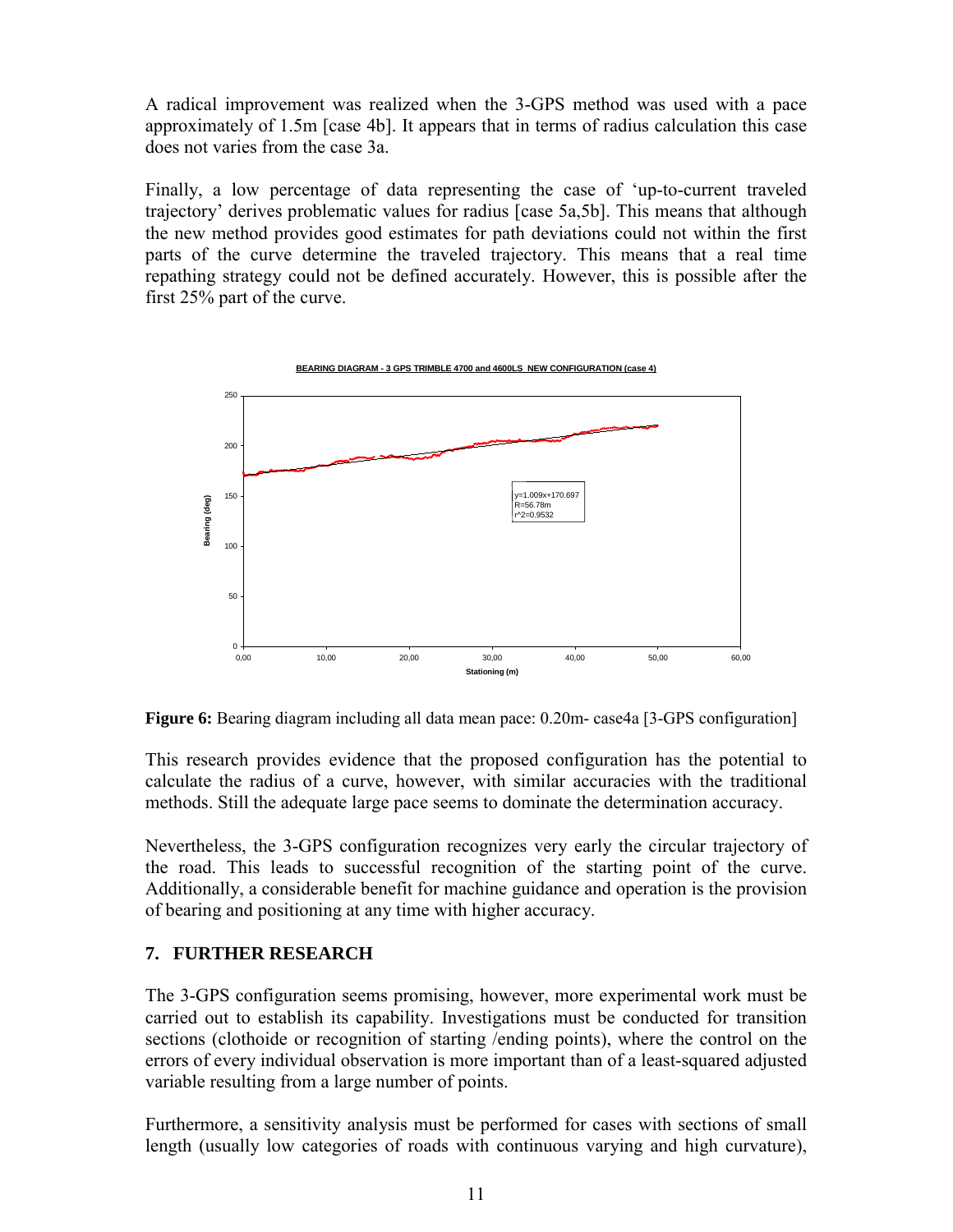A radical improvement was realized when the 3-GPS method was used with a pace approximately of 1.5m [case 4b]. It appears that in terms of radius calculation this case does not varies from the case 3a.

Finally, a low percentage of data representing the case of 'up-to-current traveled trajectory' derives problematic values for radius [case 5a,5b]. This means that although the new method provides good estimates for path deviations could not within the first parts of the curve determine the traveled trajectory. This means that a real time repathing strategy could not be defined accurately. However, this is possible after the first 25% part of the curve.



**Figure 6:** Bearing diagram including all data mean pace: 0.20m- case4a [3-GPS configuration]

This research provides evidence that the proposed configuration has the potential to calculate the radius of a curve, however, with similar accuracies with the traditional methods. Still the adequate large pace seems to dominate the determination accuracy.

Nevertheless, the 3-GPS configuration recognizes very early the circular trajectory of the road. This leads to successful recognition of the starting point of the curve. Additionally, a considerable benefit for machine guidance and operation is the provision of bearing and positioning at any time with higher accuracy.

## **7. FURTHER RESEARCH**

The 3-GPS configuration seems promising, however, more experimental work must be carried out to establish its capability. Investigations must be conducted for transition sections (clothoide or recognition of starting /ending points), where the control on the errors of every individual observation is more important than of a least-squared adjusted variable resulting from a large number of points.

Furthermore, a sensitivity analysis must be performed for cases with sections of small length (usually low categories of roads with continuous varying and high curvature),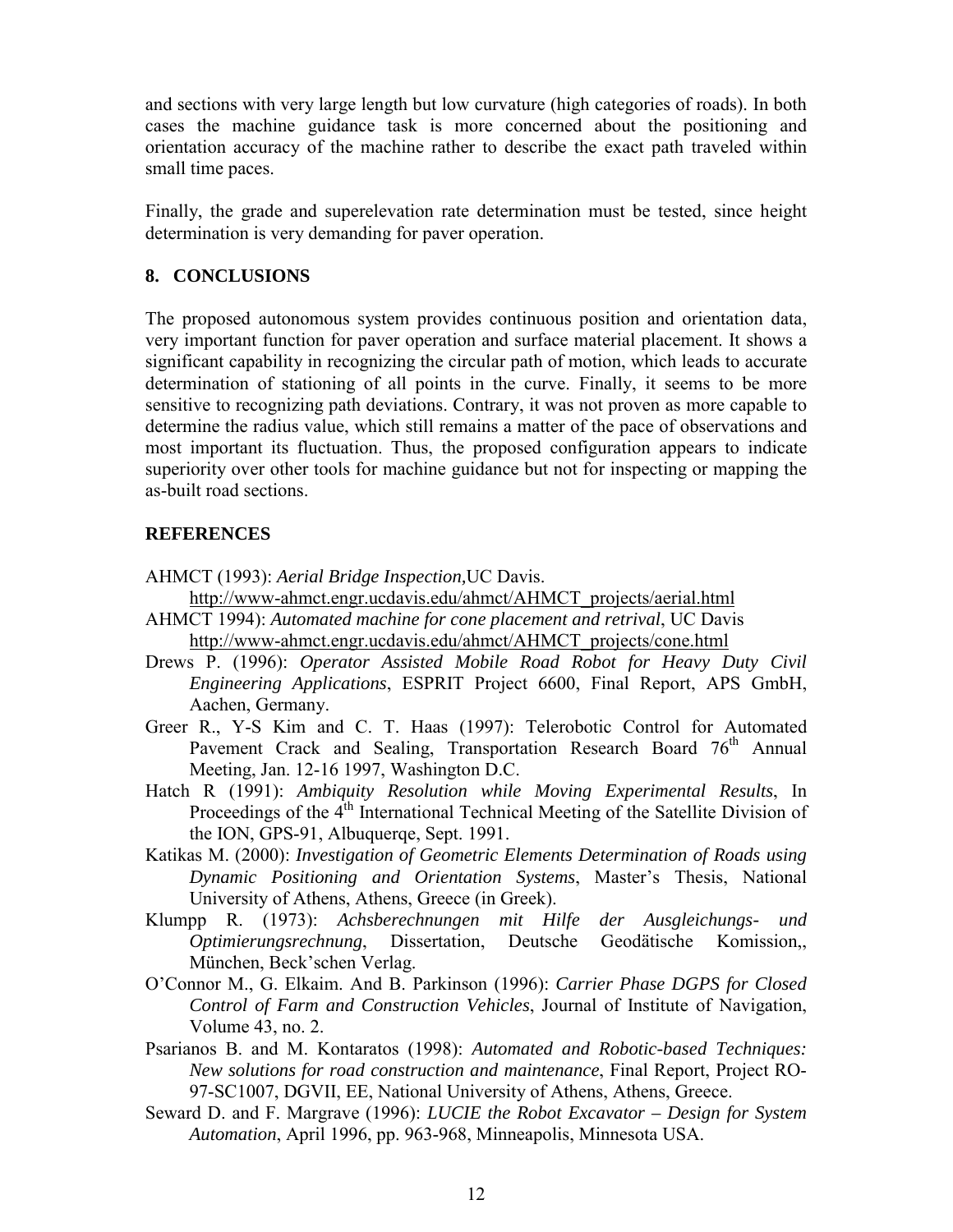and sections with very large length but low curvature (high categories of roads). In both cases the machine guidance task is more concerned about the positioning and orientation accuracy of the machine rather to describe the exact path traveled within small time paces.

Finally, the grade and superelevation rate determination must be tested, since height determination is very demanding for paver operation.

### **8. CONCLUSIONS**

The proposed autonomous system provides continuous position and orientation data, very important function for paver operation and surface material placement. It shows a significant capability in recognizing the circular path of motion, which leads to accurate determination of stationing of all points in the curve. Finally, it seems to be more sensitive to recognizing path deviations. Contrary, it was not proven as more capable to determine the radius value, which still remains a matter of the pace of observations and most important its fluctuation. Thus, the proposed configuration appears to indicate superiority over other tools for machine guidance but not for inspecting or mapping the as-built road sections.

### **REFERENCES**

AHMCT (1993): *Aerial Bridge Inspection,*UC Davis.

http://www-ahmct.engr.ucdavis.edu/ahmct/AHMCT\_projects/aerial.html

- AHMCT 1994): *Automated machine for cone placement and retrival*, UC Davis http://www-ahmct.engr.ucdavis.edu/ahmct/AHMCT\_projects/cone.html
- Drews P. (1996): *Operator Assisted Mobile Road Robot for Heavy Duty Civil Engineering Applications*, ESPRIT Project 6600, Final Report, APS GmbH, Aachen, Germany.
- Greer R., Y-S Kim and C. T. Haas (1997): Telerobotic Control for Automated Pavement Crack and Sealing, Transportation Research Board 76<sup>th</sup> Annual Meeting, Jan. 12-16 1997, Washington D.C.
- Hatch R (1991): *Ambiquity Resolution while Moving Experimental Results*, In Proceedings of the 4<sup>th</sup> International Technical Meeting of the Satellite Division of the ION, GPS-91, Albuquerqe, Sept. 1991.
- Katikas M. (2000): *Investigation of Geometric Elements Determination of Roads using Dynamic Positioning and Orientation Systems*, Master's Thesis, National University of Athens, Athens, Greece (in Greek).
- Klumpp R. (1973): *Achsberechnungen mit Hilfe der Ausgleichungs- und Optimierungsrechnung*, Dissertation, Deutsche Geodätische Komission,, München, Beck'schen Verlag.
- O'Connor M., G. Elkaim. And B. Parkinson (1996): *Carrier Phase DGPS for Closed Control of Farm and Construction Vehicles*, Journal of Institute of Navigation, Volume 43, no. 2.
- Psarianos B. and M. Kontaratos (1998): *Automated and Robotic-based Techniques: New solutions for road construction and maintenance*, Final Report, Project RO-97-SC1007, DGVII, EE, National University of Athens, Athens, Greece.
- Seward D. and F. Margrave (1996): *LUCIE the Robot Excavator Design for System Automation*, April 1996, pp. 963-968, Minneapolis, Minnesota USA.